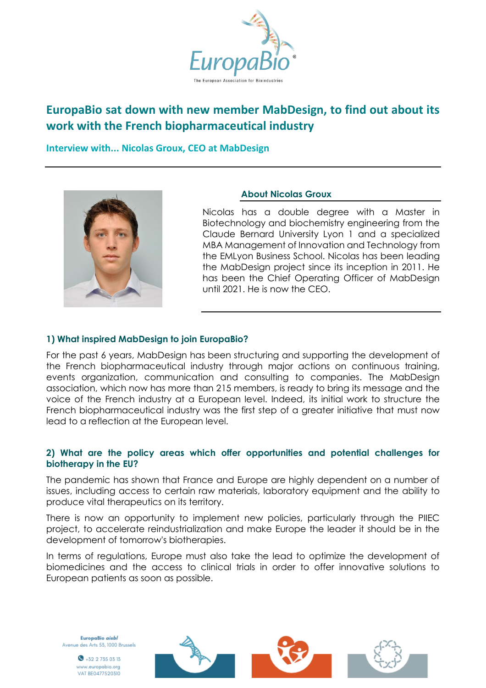

# **EuropaBio sat down with new member MabDesign, to find out about its work with the French biopharmaceutical industry**

**Interview with... Nicolas Groux, CEO at MabDesign**



## **About Nicolas Groux**

Nicolas has a double degree with a Master in Biotechnology and biochemistry engineering from the Claude Bernard University Lyon 1 and a specialized MBA Management of Innovation and Technology from the EMLyon Business School. Nicolas has been leading the MabDesign project since its inception in 2011. He has been the Chief Operating Officer of MabDesign until 2021. He is now the CEO.

#### **1) What inspired MabDesign to join EuropaBio?**

For the past 6 years, MabDesign has been structuring and supporting the development of the French biopharmaceutical industry through major actions on continuous training, events organization, communication and consulting to companies. The MabDesign association, which now has more than 215 members, is ready to bring its message and the voice of the French industry at a European level. Indeed, its initial work to structure the French biopharmaceutical industry was the first step of a greater initiative that must now lead to a reflection at the European level.

#### **2) What are the policy areas which offer opportunities and potential challenges for biotherapy in the EU?**

The pandemic has shown that France and Europe are highly dependent on a number of issues, including access to certain raw materials, laboratory equipment and the ability to produce vital therapeutics on its territory.

There is now an opportunity to implement new policies, particularly through the PIIEC project, to accelerate reindustrialization and make Europe the leader it should be in the development of tomorrow's biotherapies.

In terms of regulations, Europe must also take the lead to optimize the development of biomedicines and the access to clinical trials in order to offer innovative solutions to European patients as soon as possible.

EuropaBio aisbl Avenue des Arts 53, 1000 Brussels